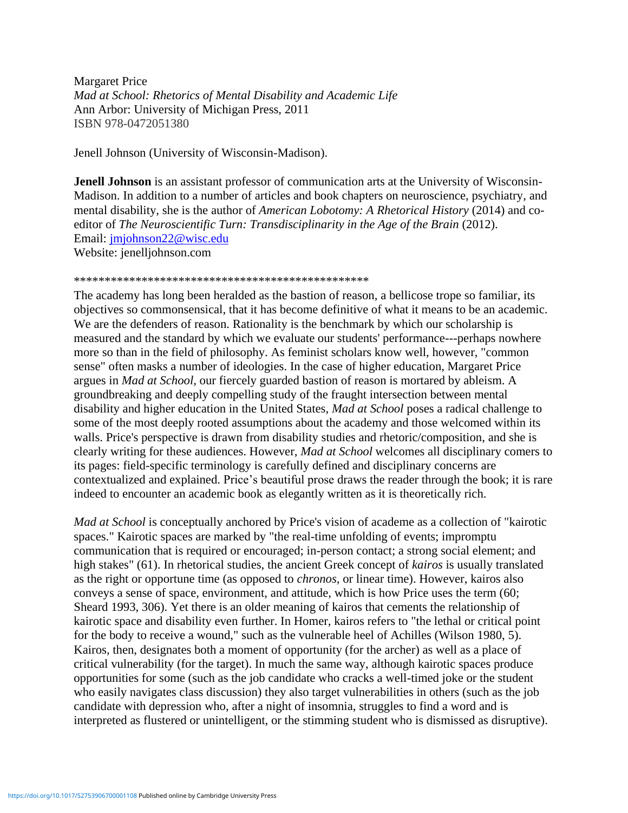Margaret Price *Mad at School: Rhetorics of Mental Disability and Academic Life* Ann Arbor: University of Michigan Press, 2011 ISBN 978-0472051380

Jenell Johnson (University of Wisconsin-Madison).

**Jenell Johnson** is an assistant professor of communication arts at the University of Wisconsin-Madison. In addition to a number of articles and book chapters on neuroscience, psychiatry, and mental disability, she is the author of *American Lobotomy: A Rhetorical History* (2014) and coeditor of *The Neuroscientific Turn: Transdisciplinarity in the Age of the Brain* (2012). Email: [jmjohnson22@wisc.edu](mailto:jmjohnson22@wisc.edu) Website: jenelljohnson.com

## \*\*\*\*\*\*\*\*\*\*\*\*\*\*\*\*\*\*\*\*\*\*\*\*\*\*\*\*\*\*\*\*\*\*\*\*\*\*\*\*\*\*\*\*\*\*\*\*

The academy has long been heralded as the bastion of reason, a bellicose trope so familiar, its objectives so commonsensical, that it has become definitive of what it means to be an academic. We are the defenders of reason. Rationality is the benchmark by which our scholarship is measured and the standard by which we evaluate our students' performance---perhaps nowhere more so than in the field of philosophy. As feminist scholars know well, however, "common sense" often masks a number of ideologies. In the case of higher education, Margaret Price argues in *Mad at School,* our fiercely guarded bastion of reason is mortared by ableism. A groundbreaking and deeply compelling study of the fraught intersection between mental disability and higher education in the United States, *Mad at School* poses a radical challenge to some of the most deeply rooted assumptions about the academy and those welcomed within its walls. Price's perspective is drawn from disability studies and rhetoric/composition, and she is clearly writing for these audiences. However, *Mad at School* welcomes all disciplinary comers to its pages: field-specific terminology is carefully defined and disciplinary concerns are contextualized and explained. Price's beautiful prose draws the reader through the book; it is rare indeed to encounter an academic book as elegantly written as it is theoretically rich.

*Mad at School* is conceptually anchored by Price's vision of academe as a collection of "kairotic spaces." Kairotic spaces are marked by "the real-time unfolding of events; impromptu communication that is required or encouraged; in-person contact; a strong social element; and high stakes" (61). In rhetorical studies, the ancient Greek concept of *kairos* is usually translated as the right or opportune time (as opposed to *chronos,* or linear time). However, kairos also conveys a sense of space, environment, and attitude, which is how Price uses the term (60; Sheard 1993, 306). Yet there is an older meaning of kairos that cements the relationship of kairotic space and disability even further. In Homer, kairos refers to "the lethal or critical point for the body to receive a wound," such as the vulnerable heel of Achilles (Wilson 1980, 5). Kairos, then, designates both a moment of opportunity (for the archer) as well as a place of critical vulnerability (for the target). In much the same way, although kairotic spaces produce opportunities for some (such as the job candidate who cracks a well-timed joke or the student who easily navigates class discussion) they also target vulnerabilities in others (such as the job candidate with depression who, after a night of insomnia, struggles to find a word and is interpreted as flustered or unintelligent, or the stimming student who is dismissed as disruptive).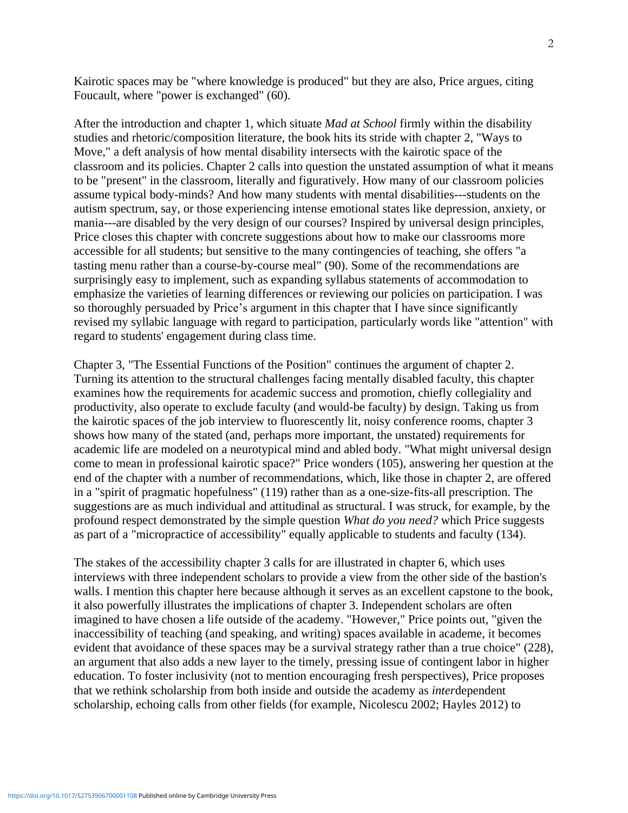Kairotic spaces may be "where knowledge is produced" but they are also, Price argues, citing Foucault, where "power is exchanged" (60).

After the introduction and chapter 1, which situate *Mad at School* firmly within the disability studies and rhetoric/composition literature, the book hits its stride with chapter 2, "Ways to Move," a deft analysis of how mental disability intersects with the kairotic space of the classroom and its policies. Chapter 2 calls into question the unstated assumption of what it means to be "present" in the classroom, literally and figuratively. How many of our classroom policies assume typical body-minds? And how many students with mental disabilities---students on the autism spectrum, say, or those experiencing intense emotional states like depression, anxiety, or mania---are disabled by the very design of our courses? Inspired by universal design principles, Price closes this chapter with concrete suggestions about how to make our classrooms more accessible for all students; but sensitive to the many contingencies of teaching, she offers "a tasting menu rather than a course-by-course meal" (90). Some of the recommendations are surprisingly easy to implement, such as expanding syllabus statements of accommodation to emphasize the varieties of learning differences or reviewing our policies on participation. I was so thoroughly persuaded by Price's argument in this chapter that I have since significantly revised my syllabic language with regard to participation, particularly words like "attention" with regard to students' engagement during class time.

Chapter 3, "The Essential Functions of the Position" continues the argument of chapter 2. Turning its attention to the structural challenges facing mentally disabled faculty, this chapter examines how the requirements for academic success and promotion, chiefly collegiality and productivity, also operate to exclude faculty (and would-be faculty) by design. Taking us from the kairotic spaces of the job interview to fluorescently lit, noisy conference rooms, chapter 3 shows how many of the stated (and, perhaps more important, the unstated) requirements for academic life are modeled on a neurotypical mind and abled body. "What might universal design come to mean in professional kairotic space?" Price wonders (105), answering her question at the end of the chapter with a number of recommendations, which, like those in chapter 2, are offered in a "spirit of pragmatic hopefulness" (119) rather than as a one-size-fits-all prescription. The suggestions are as much individual and attitudinal as structural. I was struck, for example, by the profound respect demonstrated by the simple question *What do you need?* which Price suggests as part of a "micropractice of accessibility" equally applicable to students and faculty (134).

The stakes of the accessibility chapter 3 calls for are illustrated in chapter 6, which uses interviews with three independent scholars to provide a view from the other side of the bastion's walls. I mention this chapter here because although it serves as an excellent capstone to the book, it also powerfully illustrates the implications of chapter 3. Independent scholars are often imagined to have chosen a life outside of the academy. "However," Price points out, "given the inaccessibility of teaching (and speaking, and writing) spaces available in academe, it becomes evident that avoidance of these spaces may be a survival strategy rather than a true choice" (228), an argument that also adds a new layer to the timely, pressing issue of contingent labor in higher education. To foster inclusivity (not to mention encouraging fresh perspectives), Price proposes that we rethink scholarship from both inside and outside the academy as *inter*dependent scholarship, echoing calls from other fields (for example, Nicolescu 2002; Hayles 2012) to